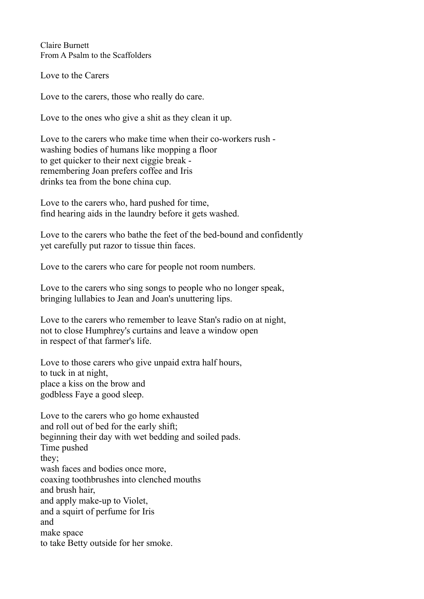Claire Burnett From A Psalm to the Scaffolders

Love to the Carers

Love to the carers, those who really do care.

Love to the ones who give a shit as they clean it up.

Love to the carers who make time when their co-workers rush washing bodies of humans like mopping a floor to get quicker to their next ciggie break remembering Joan prefers coffee and Iris drinks tea from the bone china cup.

Love to the carers who, hard pushed for time, find hearing aids in the laundry before it gets washed.

Love to the carers who bathe the feet of the bed-bound and confidently yet carefully put razor to tissue thin faces.

Love to the carers who care for people not room numbers.

Love to the carers who sing songs to people who no longer speak, bringing lullabies to Jean and Joan's unuttering lips.

Love to the carers who remember to leave Stan's radio on at night, not to close Humphrey's curtains and leave a window open in respect of that farmer's life.

Love to those carers who give unpaid extra half hours, to tuck in at night, place a kiss on the brow and godbless Faye a good sleep.

Love to the carers who go home exhausted and roll out of bed for the early shift; beginning their day with wet bedding and soiled pads. Time pushed they; wash faces and bodies once more, coaxing toothbrushes into clenched mouths and brush hair, and apply make-up to Violet, and a squirt of perfume for Iris and make space to take Betty outside for her smoke.